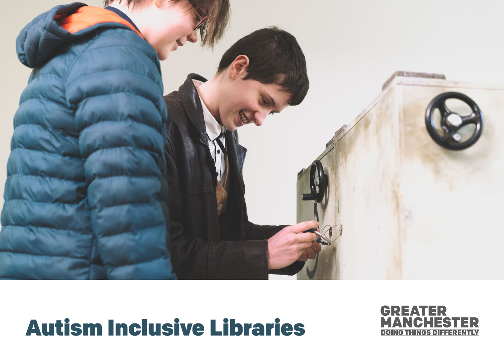

# Autism Inclusive Libraries

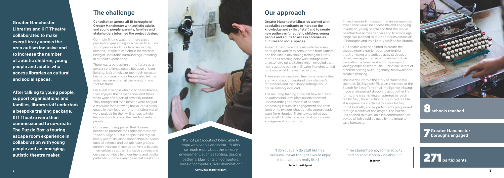### The challenge

Consultation across all 10 boroughs of Greater Manchester with autistic adults and young people, parents, families and stakeholders informed the project design.

Our main finding was that there was a perception gap acting as a barrier to autistic young people and their families visiting libraries. People talked about the worry of being in unsuitable surroundings, resulting in difficult experiences.

There was a perception of the library as a sensory challenge space because of poor lighting, lack of noise or too much noise, or being too visually busy. People also felt that activities were often at the wrong time or "not for them".

For autistic people who did access libraries, they enjoyed their experiences and these visits were often part of a weekly routine. They recognised that libraries were not just a resource for borrowing books, but a social space in their local community. Library staff were praised for their willingness to help, learn and understand the needs of autistic people.

Our research suggested that libraries needed to promote their offer more widely to encourage autistic people to be regular library users; develop relationships with local special schools and autistic user groups; connect via social media; actively articulate themselves as autism inclusive spaces and develop activities for older teens and adults, particularly in the evenings and at weekends.



Greater Manchester Libraries and KIT Theatre collaborated to make every library across the area autism inclusive and to increase the number of autistic children, young people and adults who access libraries as cultural and social spaces.

After talking to young people, support organisations and families, library staff undertook a bespoke training package. KIT Theatre were then commissioned to co-create The Puzzle Box: a touring escape room experience in collaboration with young people and an emerging, autistic theatre maker.

### Our approach

Greater Manchester Libraries worked with specialist consultants to increase the knowledge and skills of staff and to create new pathways for autistic children, young people and adults to access libraries as cultural and social spaces.

Autism Champions were recruited in every borough to work with consultants from Autism and the Arts in developing training for library staff. Their starting point was findings from an extensive consultation which revealed that many autistic people in Greater Manchester did not know what libraries had to offer.

There was a widespread fear from parents that staff would not understand their children's differences and that library settings would cause sensory overload.

The resulting training looked at how to create an autism inclusive physical environment, understanding the impact of sensory processing issues on engagement and then went on to explore what autistic young people want from libraries. Training was rolled out across all 10 districts in preparation for a new engagement programme.

Project research indicated that an escape room experience would be accessible and engaging to autistic, young people and that this would be attractive across genders and to a wide age range. We planned to tour to libraries across all 10 boroughs and train library staff as facilitators.

KIT Theatre were appointed to create the escape room experience and emerging theatre-maker and autistic activist Jessica Nolan, was appointed as a collaborator. Over 6 months the team worked with groups of young people to create The Puzzle Box, a test of problem solving skills, ingenuity, teamwork and creative thinking.

The Puzzle Box told the story of Manchester scientist, Dr. Elizabeth Platt, an employee of the Search for Extra-Terrestrial Intelligence. Having made an important discovery about other life forms, she was making an attempt to reach out for help, from her laboratory in 1960's USA. The experience started with a plea for help from Elizabeth, and as participants progressed through a series of challenges, The Puzzle Box opened to reveal an alien communication device which could be used by the group to save humanity.



Schools reached

'It's not just about not being able to cope with people and noise, it's also so much more about the sensory environment, such as lighting, designs, patterns, blue lights on computers, noise of computers, over-illumination.'

Consultation participant

'I don't usually do stuff like this, because I never thought I would enjoy it but I actually really liked it.'

School participant

7 Greater Manchester boroughs engaged

'The student's enjoyed the activity and couldn't stop talking about it.'

Teacher

271 participants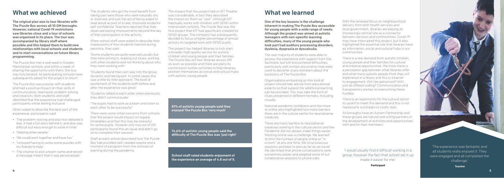'The experience was fantastic and all students really enjoyed it. They were engaged and all completed the challenge.'

**Teacher** 

### What we achieved

The original plan was to tour libraries with The Puzzle Box across all 10 GM boroughs. However, national Covid-19 restrictions saw libraries close and a tour of schools was organised in its place. The tour was accompanied by library staff where possible and this helped them to build new relationships with local schools and students and to start conversations on future library programming.

The Puzzle Box met a real need in Greater Manchester schools; and within a week of sharing the opportunity with them, the tour was fully booked. All participating schools have subsequently asked for the project to return.

The Puzzle Box was popular with students and had a positive impact on their skills in communication, teamwork, problem solving and creativity. Both students and staff identified that the experience had challenged participants whilst feeling inclusive.

When asked to describe the best part of the experience, participants said:

- 'The problem-solving and also how detailed it was. It had a full story behind it, and also was difficult but easy enough to solve in time.'
- 'Helping other people.'
- 'We could work together and have fun.'
- 'I enjoyed having to solve some puzzles with my friends to help.'
- 'The chance to pick a team name and record a message meant that it was personalised.'

The students who got the most benefit from taking part were those who were naturally shy or reserved, and just the act of being asked to read aloud as part of a task, improved students' self-confidence. Teachers reported that they observed lasting improvements beyond the day of their participation in the activity.

When school staff were asked to describe their impressions of how students reacted during sessions, they said:

'Some students are quite reserved usually but they were joining in, reading out clues, working with other students and not thinking about who they were working with.'

'Students found their own way into the group dynamic and taking part. In some cases this was a little by little approach. The level of excitement of the students both before and after the experience was great.'

'Students talked to each other when previously they didn't communicate.'

'The pupils had to work as a team and listen to each other to be successful.'

There were some initial concerns from schools that the project would impact on regular timetables and that this may be stressful for some pupils. However only two out of 281 participants found this an issue and didn't go on to complete their session.

Staff at each school described how The Puzzle Box had provided well-needed respite and a moment of escapism from the stresses of learning during the pandemic.

The impact that the project had on KIT Theatre was considerable, in fact they described the impact on them as "vast". Although KIT habitually works with children with SEND within mainstream schools, The Puzzle Box was the first project that KIT had specifically created for SEND groups. The company has subsequently decided to focus a higher percentage of annual activity on targeted work with SEND pupils.

The project has helped libraries to kick start a broader, high quality service for autistic children and young people and their families. The Puzzle Box will tour libraries across GM as soon as possible and there are plans to commission further activities to help libraries position themselves as social and cultural hubs with autistic young people.

## What we learned

One of the key lessons is the challenge inherent in making The Puzzle Box accessible for young people with a wide range of needs. Although the project was aimed at autistic teenagers with non-specific learning difficulties, many of the young people who took part had auditory processing disorders, dyslexia, dyspraxia or dyscalculia.

The vast majority of students were able to access the experience with support from the facilitator, but still encountered difficulties, particularly with written documents that were used to decipher clues and learn about the backstory of The Puzzle Box.

Organisations embarking on this kind of project should take advice from educational experts so that support for additional learning can be provided. This may take the form of clues presented in different formats, including visually.

National pandemic lockdowns and the move to online also highlighted how many barriers there are in the culture sector for neurodiverse creatives.

There are many barriers to neurodiverse creatives working in the cultural sector and the Pandemic did not always make things easier. Working online was a challenge. We learned to limit the number of people online or "in a room" at any one time. We structured our sessions and kept to plan as far as we could. We identified that phone conversations were sometimes easier and adapted some of our collaborative sessions to phone calls.

With the renewed focus on neighbourhood delivery from both health services and local government, libraries are playing an increasingly central role as a connector between services and communities. Covid-19 may have interrupted this project, but it also highlighted the essential role that libraries have as information, social and cultural hubs in our communities.

There is a real demand from autistic children, young people and their families for cultural and creative opportunities. We know there is a perception gap between what libraries offer and what many autistic people think they will experience in a library and this is a barrier to engagement; Will I be patronised? Will I just be offered coding? Communication and transparency are key to overcoming these hurdles.

There is an opportunity for the cultural sector to upskill to meet this demand and this is not necessarily a complex or costly task.

All boroughs have an Autism Partnership and these groups are natural and willing partners in the development of activities and opportunities with and for their members.

School staff rated students enjoyment of the experience an average of 4.8 out of 5.

74.6% of autistic young people said the difficulty of The Puzzle Box was 'just right'

### 81% of autistic young people said they enjoyed The Puzzle Box 'very much'

'I would usually find it difficult working in a group, however the fact that school set it up made it easier for me.'

**Participant**